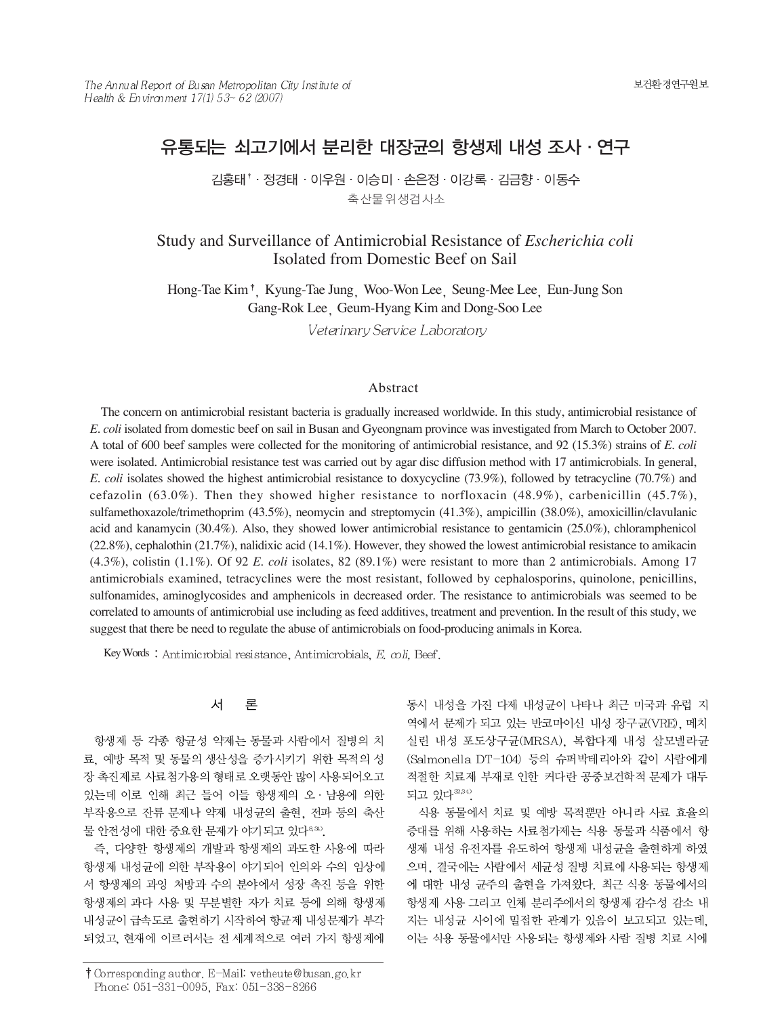# 유통되는 쇠고기에서 분리한 대장균의 항생제 내성 조사 · 연구

김홍태<sup>↑</sup> · 정경태 · 이우원 · 이승미 · 손은정 · 이강록 · 김금향 · 이동수 축산물위생검사소

# Study and Surveillance of Antimicrobial Resistance of *Escherichia coli*  Isolated from Domestic Beef on Sail

Hong-Tae Kim<sup>+</sup>, Kyung-Tae Jung Woo-Won Lee Seung-Mee Lee Eun-Jung Son Gang-Rok Lee Geum-Hyang Kim and Dong-Soo Lee

Veterinary Service Laboratory

### Abstract

The concern on antimicrobial resistant bacteria is gradually increased worldwide. In this study, antimicrobial resistance of *E. coli* isolated from domestic beef on sail in Busan and Gyeongnam province was investigated from March to October 2007. A total of 600 beef samples were collected for the monitoring of antimicrobial resistance, and 92 (15.3%) strains of *E. coli* were isolated. Antimicrobial resistance test was carried out by agar disc diffusion method with 17 antimicrobials. In general, *E. coli* isolates showed the highest antimicrobial resistance to doxycycline (73.9%), followed by tetracycline (70.7%) and cefazolin (63.0%). Then they showed higher resistance to norfloxacin (48.9%), carbenicillin (45.7%), sulfamethoxazole/trimethoprim (43.5%), neomycin and streptomycin (41.3%), ampicillin (38.0%), amoxicillin/clavulanic acid and kanamycin (30.4%). Also, they showed lower antimicrobial resistance to gentamicin (25.0%), chloramphenicol (22.8%), cephalothin (21.7%), nalidixic acid (14.1%). However, they showed the lowest antimicrobial resistance to amikacin (4.3%), colistin (1.1%). Of 92 *E. coli* isolates, 82 (89.1%) were resistant to more than 2 antimicrobials. Among 17 antimicrobials examined, tetracyclines were the most resistant, followed by cephalosporins, quinolone, penicillins, sulfonamides, aminoglycosides and amphenicols in decreased order. The resistance to antimicrobials was seemed to be correlated to amounts of antimicrobial use including as feed additives, treatment and prevention. In the result of this study, we suggest that there be need to regulate the abuse of antimicrobials on food-producing animals in Korea.

Key Words: Antimic robial resistance, Antimic robials, E. coli, Beef.

#### 서 론

항생제 등 각종 항균성 약제는 동물과 사람에서 질병의 치 료, 예방 목적 및 동물의 생산성을 증가시키기 위한 목적의 성 장 촉진제로 사료첨가용의 형태로 오랫동안 많이 사용되어오고 있는데 이로 인해 최근 들어 이들 항생제의 오 · 남용에 의한 부작용으로 잔류 문제나 약제 내성균의 출현, 전파 등의 축산 물 안전성에 대한 중요한 문제가 야기되고 있다<sup>8,31)</sup>.

즉, 다양한 항생제의 개발과 항생제의 과도한 사용에 따라 항생제 내성균에 의한 부작용이 야기되어 인의와 수의 임상에 서 항생제의 과잉 처방과 수의 분야에서 성장 촉진 등을 위한 항생제의 과다 사용 및 무분별한 자가 치료 등에 의해 항생제 내성균이 급속도로 출현하기 시작하여 항균제 내성문제가 부각 되었고, 현재에 이르러서는 전 세계적으로 여러 가지 항생제에

동시 내성을 가진 다제 내성균이 나타나 최근 미국과 유럽 지 역에서 문제가 되고 있는 반코마이신 내성 장구균(VRE), 메치 실린 내성 포도상구균(MRSA), 복합다제 내성 살모넬라균 (Salmonella DT-104) 등의 슈퍼박테리아와 같이 사람에게 적절한 치료제 부재로 인한 커다란 공중보건학적 문제가 대두 되고 있다<sup>22,34)</sup>.

식용 동물에서 치료 및 예방 목적뿐만 아니라 사료 효율의 증대를 위해 사용하는 사료첨가제는 식용 동물과 식품에서 항 생제 내성 유전자를 유도하여 항생제 내성균을 출현하게 하였 으며, 결국에는 사람에서 세균성 질병 치료에 사용되는 항생제 에 대한 내성 균주의 출현을 가져왔다. 최근 식용 동물에서의 항생제 사용 그리고 인체 분리주에서의 항생제 감수성 감소 내 지는 내성균 사이에 밀접한 관계가 있음이 보고되고 있는데, 이는 식용 동물에서만 사용되는 항생제와 사람 질병 치료 시에

<sup>†</sup> Corresponding author, E-Mail: vetheute@busan.go.kr Phone: 051-331-0095, Fax: 051-338-8266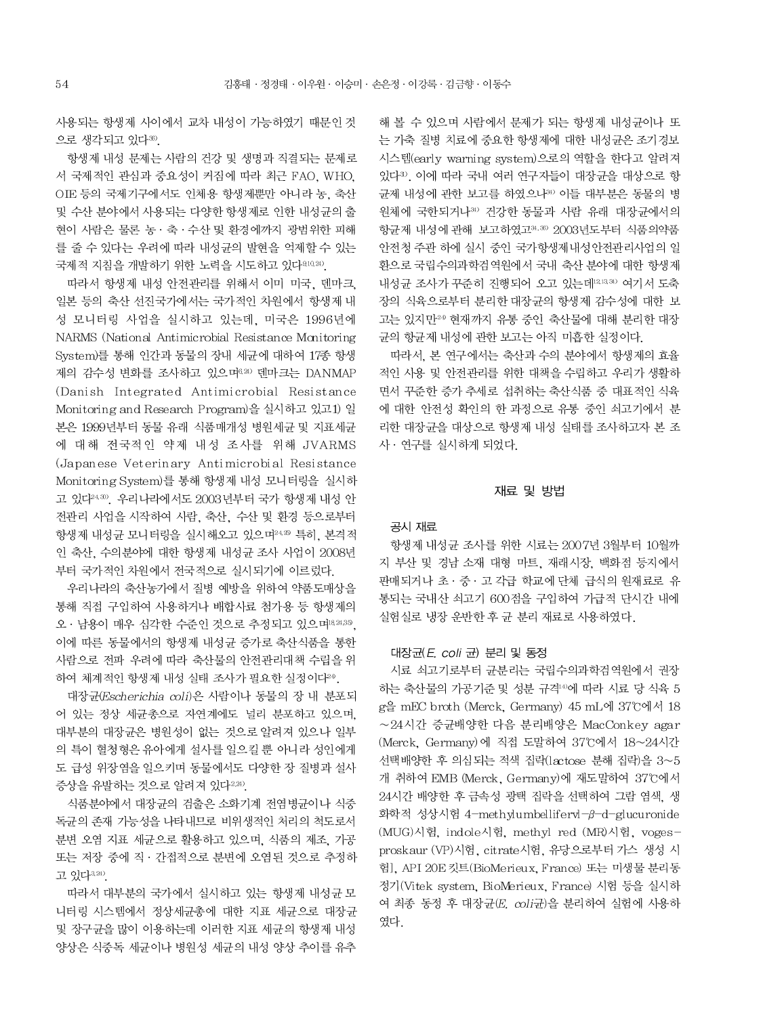사용되는 항생제 사이에서 교차 내성이 가능하였기 때문인 것 으로 생각되고 있다38).

항생제 내성 문제는 사람의 건강 및 생명과 직결되는 문제로 서 국제적인 관심과 중요성이 커짐에 따라 최근 FAO, WHO, OIE 등의 국제기구에서도 인체용 항생제뿐만 아니라 농, 축산 및 수산 분야에서 사용되는 다양한 항생제로 인한 내성균의 출 현이 사람은 물론 농 · 축 · 수산 및 환경에까지 광범위한 피해 를 줄 수 있다는 우려에 따라 내성균의 발현을 억제할 수 있는 국제적 지침을 개발하기 위한 노력을 시도하고 있다<sup>810,20</sup>.

따라서 항생제 내성 안전관리를 위해서 이미 미국, 덴마크, 일본 등의 축산 선진국가에서는 국가적인 차원에서 항생제 내 성 모니터링 사업을 실시하고 있는데. 미국은 1996년에 NARMS (National Antimicrobial Resistance Monitoring System)를 통해 인간과 동물의 장내 세균에 대하여 17종 항생 제의 감수성 변화를 조사하고 있으며 아외 덴마크는 DANMAP (Danish Integrated Antimicrobial Resistance Monitoring and Research Program)을 실시하고 있고1) 일 본은 1999년부터 동물 유래 식품매개성 병원세균 및 지표세균 에 대해 전국적인 약제 내성 조사를 위해 JVARMS (Japanese Veterinary Antimicrobial Resistance Monitoring System)를 통해 항생제 내성 모니터링을 실시하 고 있다<sup>24.30</sup>. 우리나라에서도 2003년부터 국가 항생제 내성 안 전관리 사업을 시작하여 사람, 축산, 수산 및 환경 등으로부터 항생제 내성균 모니터링을 실시해오고 있으며24.35 특히, 본격적 인 축산, 수의분야에 대한 항생제 내성균 조사 사업이 2008년 부터 국가적인 차원에서 전국적으로 실시되기에 이르렀다.

우리나라의 축산농가에서 질병 예방을 위하여 약품도매상을 통해 직접 구입하여 사용하거나 배합사료 첨가용 등 항생제의 오 · 남용이 매우 심각한 수준인 것으로 추정되고 있으며1824,35, 이에 따른 동물에서의 항생제 내성균 증가로 축산식품을 통한 사람으로 전파 우려에 따라 축산물의 안전관리대책 수립을 위 하여 체계적인 항생제 내성 실태 조사가 필요한 실정이다<sup>24</sup>.

대장균(Escherichia coli)은 사람이나 동물의 장 내 분포되 어 있는 정상 세균총으로 자연계에도 널리 분포하고 있으며, 대부분의 대장균은 병원성이 없는 것으로 알려져 있으나 일부 의 특이 혈청형은 유아에게 설사를 일으킬 뿐 아니라 성인에게 도 급성 위장염을 일으키며 동물에서도 다양한 장 질병과 설사 증상을 유발하는 것으로 알려져 있다<sup>2,24)</sup>.

식품분야에서 대장균의 검출은 소화기계 전염병균이나 식중 독균의 존재 가능성을 나타내므로 비위생적인 처리의 척도로서 분변 오염 지표 세균으로 활용하고 있으며, 식품의 제조, 가공 또는 저장 중에 직 · 간접적으로 분변에 오염된 것으로 추정하 고 있다 3.24).

따라서 대부분의 국가에서 실시하고 있는 항생제 내성균 모 니터링 시스템에서 정상세균총에 대한 지표 세균으로 대장균 및 장구균을 많이 이용하는데 이러한 지표 세균의 항생제 내성 양상은 식중독 세균이나 병원성 세균의 내성 양상 추이를 유추

해 볼 수 있으며 사람에서 문제가 되는 항생제 내성균이나 또 는 가축 질병 치료에 중요한 항생제에 대한 내성균은 조기경보 시스템(early warning system)으로의 역할을 한다고 알려져 있다3). 이에 따라 국내 여러 연구자들이 대장규을 대상으로 항 균제 내성에 관한 보고를 하였으나30 이들 대부분은 동물의 병 원체에 국한되거나34) 건강한 동물과 사람 유래 대장균에서의 항균제 내성에 관해 보고하였고34.36) 2003년도부터 식품의약품 안전청 주관 하에 실시 중인 국가항생제내성안전관리사업의 일 환으로 국립수의과학검역원에서 국내 축산 분야에 대한 항생제 내성균 조사가 꾸준히 진행되어 오고 있는데121334) 여기서 도축 장의 식육으로부터 분리한 대장균의 항생제 감수성에 대한 보 고는 있지만<sup>24</sup> 현재까지 유통 중인 축산물에 대해 분리한 대장 균의 항균제 내성에 관한 보고는 아직 미흡한 실정이다.

따라서, 본 연구에서는 축산과 수의 분야에서 항생제의 효율 적인 사용 및 안전관리를 위한 대책을 수립하고 우리가 생활하 면서 꾸준한 증가 추세로 섭취하는 축산식품 중 대표적인 식육 에 대한 안전성 확인의 한 과정으로 유통 중인 쇠고기에서 분 리한 대장균을 대상으로 항생제 내성 실태를 조사하고자 본 조 사 · 연구를 실시하게 되었다.

### 재료 및 방법

### 공시 재료

항생제 내성균 조사를 위한 시료는 2007년 3월부터 10월까 지 부산 및 경남 소재 대형 마트, 재래시장, 백화점 등지에서 판매되거나 초 · 중 · 고 각급 학교에 단체 급식의 원재료로 유 통되는 국내산 쇠고기 600점을 구입하여 가급적 단시간 내에 실험실로 냉장 운반한 후 균 분리 재료로 사용하였다.

### 대장균(E. coli 균) 분리 및 동정

시료 쇠고기로부터 균분리는 국립수의과학검역원에서 권장 하는 축산물의 가공기준 및 성분 규격<sup>40</sup>에 따라 시료 당 식육 5 g을 mEC broth (Merck, Germany) 45 mL에 37°C에서 18  $\sim$  24시간 증균배양한 다음 분리배양은 MacConkey agar (Merck, Germany)에 직접 도말하여 37°C에서 18~24시간 선택배양한 후 의심되는 적색 집락(lactose 분해 집락)을 3~5 개 취하여 EMB (Merck, Germany)에 재도말하여 37°C에서 24시간 배양한 후 금속성 광택 집락을 선택하여 그람 염색, 생 화학적 성상시험 4-methylumbellifervl-β-d-glucuronide (MUG)시험, indole시험, methyl red (MR)시험, vogesproskaur (VP)시험, citrate시험, 유당으로부터 가스 생성 시 험], API 20E 킷트(BioMerieux, France) 또는 미생물 분리동 정기(Vitek system, BioMerieux, France) 시험 등을 실시하 여 최종 동정 후 대장균 (E. coli균)을 분리하여 실험에 사용하 였다.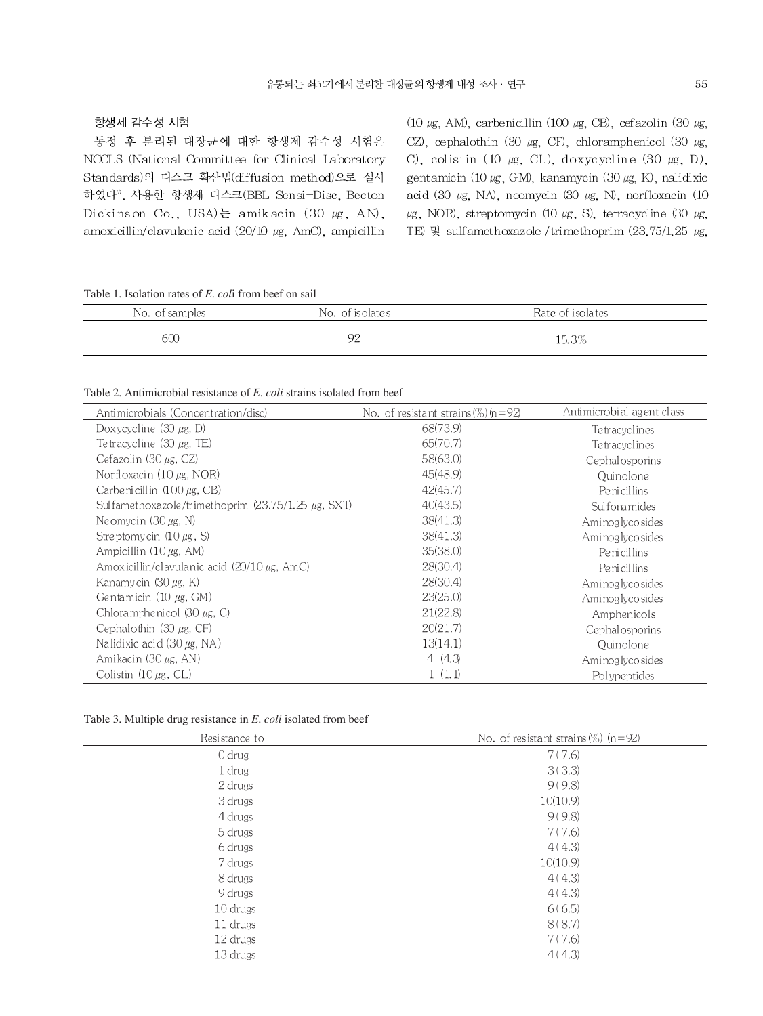### 항생제 감수성 시험

동정 후 분리된 대장균에 대한 항생제 감수성 시험은 NCCLS (National Committee for Clinical Laboratory Standards)의 디스크 확산법(diffusion method)으로 실시 하였다<sup>7</sup>. 사용한 항생제 디스크(BBL Sensi-Disc, Becton Dickinson Co., USA)는 amikacin (30 µg, AN), amoxicillin/clavulanic acid  $(20/10 \mu g, \text{AmC})$ , ampicillin

(10  $\mu$ g, AM), carbenicillin (100  $\mu$ g, CB), cefazolin (30  $\mu$ g, CZ), cephalothin (30  $\mu$ g, CF), chloramphenicol (30  $\mu$ g, C), colistin (10  $\mu$ g, CL), doxycycline (30  $\mu$ g, D), gentamicin (10 µg, GM), kanamycin (30 µg, K), nalidixic acid (30  $\mu$ g, NA), neomycin (30  $\mu$ g, N), norfloxacin (10 μg, NOR), streptomycin (10 μg, S), tetracycline (30 μg, TE) 및 sulfamethoxazole /trimethoprim  $(23.75/1.25 \mu g,$ 

Table 1. Isolation rates of *E. col*i from beef on sail

| No. of samples | No. of isolates | Rate of isolates |  |
|----------------|-----------------|------------------|--|
| 50C            | ∩⊆<br>╯         | 15.3%            |  |

### Table 2. Antimicrobial resistance of *E. coli* strains isolated from beef

| Antimicrobials (Concentration/disc)                | No. of resistant strains $(\%)$ $(n=92)$ | Antimicrobial agent class |
|----------------------------------------------------|------------------------------------------|---------------------------|
| Doxycycline $(30 \mu g, D)$                        | 68(73.9)                                 | Te tracyclines            |
| Tetracycline $(30 \mu$ g, TE)                      | 65(70.7)                                 | Te tracyclines            |
| Cefazolin $(30 \mu g, CZ)$                         | 58(63.0)                                 | Cephalosporins            |
| Norfloxacin $(10 \mu g, NOR)$                      | 45(48.9)                                 | Quinolone                 |
| Carbenicillin $(100 \mu$ g, CB)                    | 42(45.7)                                 | Penicillins               |
| Sulfamethoxazole/trimethoprim (23.75/1.25 µg, SXT) | 40(43.5)                                 | Sulfonamides              |
| Neomycin $(30 \mu g, N)$                           | 38(41.3)                                 | Aminoglyco sides          |
| Streptomy cin $(10 \mu$ g, S)                      | 38(41.3)                                 | Aminoglyco sides          |
| Ampicillin $(10 \mu g, AM)$                        | 35(38.0)                                 | Penicillins               |
| Amoxicillin/clavulanic acid $(20/10 \mu g, AmC)$   | 28(30.4)                                 | Penicillins               |
| Kanamycin $(30 \mu g, K)$                          | 28(30.4)                                 | Aminoglyco sides          |
| Gentamicin $(10 \mu$ g, GM)                        | 23(25.0)                                 | Ami nog lyco sides        |
| Chloramphenicol $(30 \mu g, C)$                    | 21(22.8)                                 | Amphenicols               |
| Cephalothin $(30 \mu g, CF)$                       | 20(21.7)                                 | Cephalosporins            |
| Nalidixic acid $(30 \mu g, NA)$                    | 13(14.1)                                 | Quinolone                 |
| Amikacin (30 $\mu$ g, AN)                          | 4(4.3)                                   | Aminoglyco sides          |
| Colistin $(10 \mu g, CL)$                          | 1(1.1)                                   | Polypeptides              |

|  | Table 3. Multiple drug resistance in <i>E. coli</i> isolated from beef |  |  |  |  |
|--|------------------------------------------------------------------------|--|--|--|--|
|--|------------------------------------------------------------------------|--|--|--|--|

| Resistance to | No. of resistant strains $(\%)$ (n=92) |
|---------------|----------------------------------------|
| $0$ drug      | 7(7.6)                                 |
| 1 drug        | 3(3.3)                                 |
| 2 drugs       | 9(9.8)                                 |
| 3 drugs       | 10(10.9)                               |
| 4 drugs       | 9(9.8)                                 |
| 5 drugs       | 7(7.6)                                 |
| 6 drugs       | 4(4.3)                                 |
| 7 drugs       | 10(10.9)                               |
| 8 drugs       | 4(4.3)                                 |
| 9 drugs       | 4(4.3)                                 |
| $10$ drugs    | 6(6.5)                                 |
| 11 drugs      | 8(8.7)                                 |
| 12 drugs      | 7(7.6)                                 |
| 13 drugs      | 4(4.3)                                 |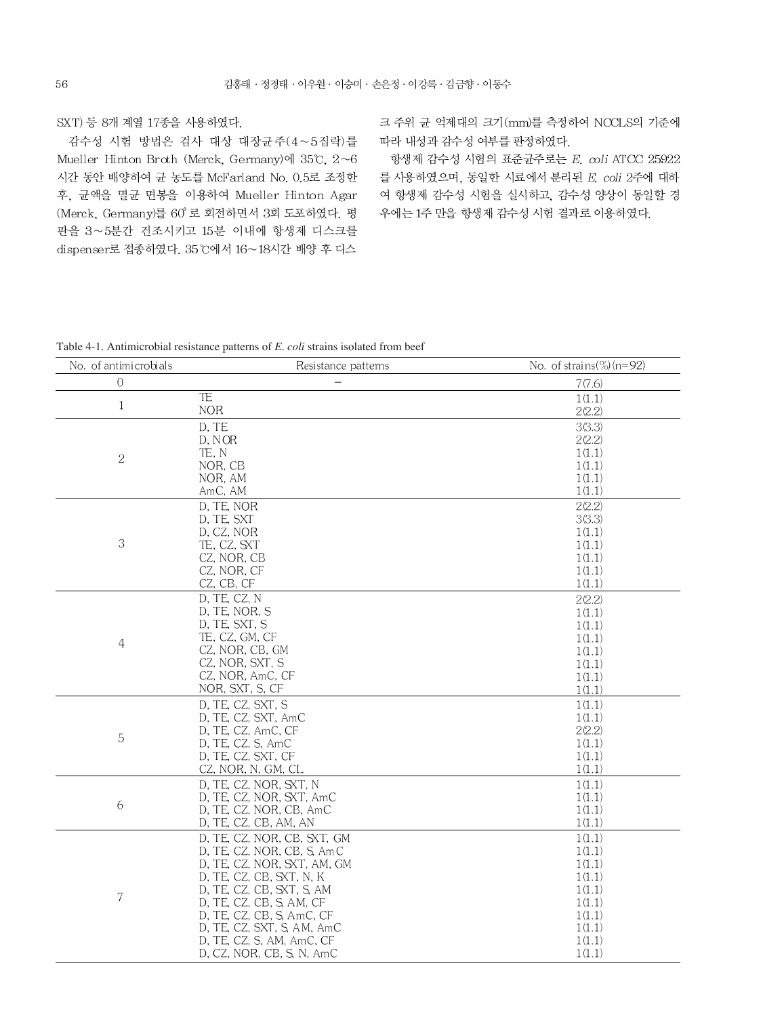SXT) 등 8개 계열 17종을 사용하였다.

감수성 시험 방법은 검사 대상 대장균주(4~5집락)를 Mueller Hinton Broth (Merck, Germany)에 35°C,  $2~6$ 시간 동안 배양하여 균 농도를 McFarland No. 0.5로 조정한 후, 균액을 멸균 면봉을 이용하여 Mueller Hinton Agar (Merck, Germany)를 60° 로 회전하면서 3회 도포하였다. 평 판을 3~5분간 건조시키고 15분 이내에 항생제 디스크를 dispenser로 접종하였다. 35°C에서 16~18시간 배양 후 디스

크 주위 균 억제대의 크기(mm)를 측정하여 NCCLS의 기준에 따라 내성과 감수성 여부를 판정하였다.

항생제 감수성 시험의 표준균주로는 E. coli ATCC 25922 를 사용하였으며, 동일한 시료에서 분리된 E. coli 2주에 대하 여 항생제 감수성 시험을 실시하고, 감수성 양상이 동일할 경 우에는 1주 만을 항생제 감수성 시험 결과로 이용하였다.

Table 4-1. Antimicrobial resistance patterns of E. coli strains isolated from beef

| No. of antimicrobials | Resistance patterns         | No. of strains $(\%)$ (n=92) |
|-----------------------|-----------------------------|------------------------------|
| $\Omega$              |                             | 7(7.6)                       |
| 1                     | TE                          | 1(1.1)                       |
|                       | <b>NOR</b>                  | 2(2.2)                       |
|                       | D, TE                       | 3(3.3)                       |
|                       | D, NOR                      | 2(2.2)                       |
| $\overline{c}$        | TE, N                       | 1(1.1)                       |
|                       | NOR. CB                     | 1(1.1)                       |
|                       | NOR, AM                     | 1(1.1)                       |
|                       | AmC, AM                     | 1(1.1)                       |
|                       | D, TE, NOR                  | 2(2.2)                       |
|                       | D, TE, SXT                  | 3(3.3)                       |
|                       | D, CZ, NOR                  | 1(1.1)                       |
| 3                     | TE, CZ, SXT                 | 1(1.1)                       |
|                       | CZ, NOR, CB                 | 1(1.1)                       |
|                       | CZ, NOR, CF                 | 1(1.1)                       |
|                       | CZ, CB, CF                  | 1(1.1)                       |
|                       | D, TE, CZ, N                | 2(2.2)                       |
|                       | D, TE, NOR, S               | 1(1.1)                       |
|                       | D, TE, SXT, S               | 1(1.1)                       |
| 4                     | TE, CZ, GM, CF              | 1(1.1)                       |
|                       | CZ, NOR, CB, GM             | 1(1.1)                       |
|                       | CZ, NOR, SXT, S             | 1(1.1)                       |
|                       | CZ, NOR, AmC, CF            | 1(1.1)                       |
|                       | NOR, SXT, S, CF             | 1(1.1)                       |
|                       | D, TE, CZ, SXT, S           | 1(1.1)                       |
|                       | D, TE, CZ, SXT, AmC         | 1(1.1)                       |
| 5                     | D, TE, CZ, AmC, CF          | 2(2.2)                       |
|                       | D, TE, CZ, S, AmC           | 1(1.1)                       |
|                       | D, TE, CZ, SXT, CF          | 1(1.1)                       |
|                       | CZ, NOR, N, GM, CL          | 1(1.1)                       |
| 6                     | D, TE, CZ, NOR, SXT, N      | 1(1.1)                       |
|                       | D, TE, CZ, NOR, SXT, AmC    | 1(1.1)                       |
|                       | D, TE, CZ, NOR, CB, AmC     | 1(1.1)                       |
|                       | D, TE, CZ, CB, AM, AN       | 1(1.1)                       |
| 7                     | D, TE, CZ, NOR, CB, SXT, GM | 1(1.1)                       |
|                       | D, TE, CZ, NOR, CB, S, AmC  | 1(1.1)                       |
|                       | D, TE, CZ, NOR, SXT, AM, GM | 1(1.1)                       |
|                       | D, TE, CZ, CB, SXT, N, K    | 1(1.1)                       |
|                       | D, TE, CZ, CB, SXT, S, AM   | 1(1.1)                       |
|                       | D, TE, CZ, CB, S, AM, CF    | 1(1.1)                       |
|                       | D, TE, CZ, CB, S, AmC, CF   | 1(1.1)                       |
|                       | D, TE, CZ, SXT, S, AM, AmC  | 1(1.1)                       |
|                       | D, TE, CZ, S, AM, AmC, CF   | 1(1.1)                       |
|                       | D, CZ, NOR, CB, S, N, AmC   | 1(1.1)                       |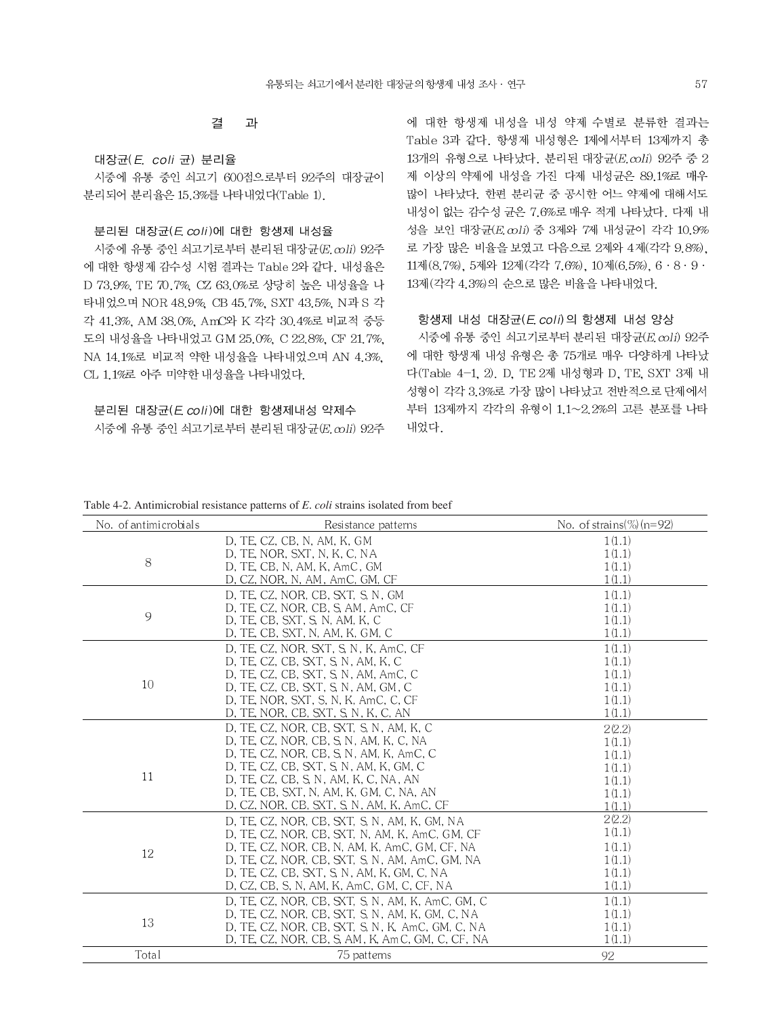#### 결 과

대장균 (E. coli 균) 분리율

시중에 유통 중인 쇠고기 600점으로부터 92주의 대장균이 분리되어 분리율은 15.3%를 나타내었다(Table 1).

### 부리된 대장균(E coli)에 대한 항생제 내성율

시중에 유통 중인 쇠고기로부터 분리된 대장균 (E. coli) 92주 에 대한 항생제 감수성 시험 결과는 Table 2와 같다. 내성율은 D 73.9%. TE 70.7%. CZ 63.0%로 상당히 높은 내성율을 나 타내었으며 NOR 48.9% CB 45.7% SXT 43.5% N과 S 각 각 41.3%, AM 38.0%, AmC와 K 각각 30.4%로 비교적 중등 도의 내성율을 나타내었고 GM 25.0% C 22.8% CF 21.7% NA 14.1%로 비교적 약한 내성율을 나타내었으며 AN 4.3%, CL 1.1%로 아주 미약한 내성율을 나타내었다.

## 분리된 대장균(E. coli)에 대한 항생제내성 약제수 시중에 유통 중인 쇠고기로부터 분리된 대장균(E. coli) 92주

에 대한 항생제 내성을 내성 약제 수별로 분류한 결과는 Table 3과 같다. 항생제 내성형은 1제에서부터 13제까지 총  $13$ 개의 유형으로 나타났다. 분리된 대장균 $(E.\,\text{coll})$  92주 중 2 제 이상의 약제에 내성을 가진 다제 내성균은 89.1%로 매우 많이 나타났다. 한편 분리균 중 공시한 어느 약제에 대해서도 내성이 없는 감수성 균은 7.6%로 매우 적게 나타났다. 다제 내 성을 보인 대장균(E.coli) 중 3제와 7제 내성균이 각각 10.9% 로 가장 많은 비율을 보였고 다음으로 2제와 4제(각각 9.8%). 11제 (8.7%), 5제와 12제 (각각 7.6%), 10제 (6.5%), 6 · 8 · 9 · 13제 (각각 4.3%)의 순으로 많은 비율을 나타내었다.

### 항생제 내성 대장균(E, coli)의 항생제 내성 양상

시중에 유통 중인 쇠고기로부터 분리된 대장균(E.coli) 92주 에 대한 항생제 내성 유형은 총 75개로 매우 다양하게 나타났 다(Table 4-1, 2), D. TE 2제 내성형과 D. TE, SXT 3제 내 성형이 각각 3.3%로 가장 많이 나타났고 전반적으로 단제에서 부터 13제까지 각각의 유형이 1.1~2.2%의 고른 분포를 나타 내었다.

### Table 4-2. Antimicrobial resistance patterns of E, coli strains isolated from beef

| No. of antimicrobials | Resistance patterns                                                                                 | No. of strains $(\%)$ (n=92) |
|-----------------------|-----------------------------------------------------------------------------------------------------|------------------------------|
|                       | D, TE, CZ, CB, N, AM, K, GM                                                                         | 1(1.1)                       |
|                       | D, TE, NOR, SXT, N, K, C, NA                                                                        | 1(1.1)                       |
| 8                     | D, TE, CB, N, AM, K, AmC, GM                                                                        | 1(1.1)                       |
|                       | D, CZ, NOR, N, AM, AmC, GM, CF                                                                      | 1(1.1)                       |
|                       | D, TE, CZ, NOR, CB, SXT, S, N, GM                                                                   | 1(1.1)                       |
|                       | D, TE, CZ, NOR, CB, S, AM, AmC, CF                                                                  | 1(1.1)                       |
| 9                     | D, TE, CB, SXT, S, N, AM, K, C                                                                      | 1(1.1)                       |
|                       | D, TE, CB, SXT, N, AM, K, GM, C                                                                     | 1(1.1)                       |
|                       | D, TE, CZ, NOR, SXT, S, N, K, AmC, CF                                                               | 1(1.1)                       |
|                       | D, TE, CZ, CB, SXT, S, N, AM, K, C                                                                  | 1(1.1)                       |
|                       | D, TE, CZ, CB, SXT, S, N, AM, AmC, C                                                                | 1(1.1)                       |
| 10                    | D, TE, CZ, CB, SXT, S, N, AM, GM, C                                                                 | 1(1.1)                       |
|                       | D, TE, NOR, SXT, S, N, K, AmC, C, CF                                                                | 1(1.1)                       |
|                       | D, TE, NOR, CB, SXT, S, N, K, C, AN                                                                 | 1(1.1)                       |
|                       | D, TE, CZ, NOR, CB, SXT, S, N, AM, K, C                                                             | 2(2.2)                       |
|                       | D, TE, CZ, NOR, CB, S, N, AM, K, C, NA                                                              | 1(1.1)                       |
|                       | D, TE, CZ, NOR, CB, S, N, AM, K, AmC, C                                                             | 1(1.1)                       |
| 11                    | D, TE, CZ, CB, SXT, S, N, AM, K, GM, C                                                              | 1(1.1)                       |
|                       | D, TE, CZ, CB, S, N, AM, K, C, NA, AN                                                               | 1(1.1)                       |
|                       | D, TE, CB, SXT, N, AM, K, GM, C, NA, AN                                                             | 1(1.1)                       |
|                       | D, CZ, NOR, CB, SXT, S, N, AM, K, AmC, CF                                                           | 1(1.1)<br>2(2.2)             |
|                       | D, TE, CZ, NOR, CB, SXT, S, N, AM, K, GM, NA                                                        | 1(1.1)                       |
| 12                    | D, TE, CZ, NOR, CB, SXT, N, AM, K, AmC, GM, CF                                                      |                              |
|                       | D, TE, CZ, NOR, CB, N, AM, K, AmC, GM, CF, NA                                                       | 1(1.1)                       |
|                       | D, TE, CZ, NOR, CB, SXT, S, N, AM, AmC, GM, NA                                                      | 1(1.1)                       |
|                       | D, TE, CZ, CB, SXT, S, N, AM, K, GM, C, NA                                                          | 1(1.1)<br>1(1.1)             |
|                       | D, CZ, CB, S, N, AM, K, AmC, GM, C, CF, NA                                                          |                              |
|                       | D, TE, CZ, NOR, CB, SXT, S, N, AM, K, AmC, GM, C                                                    | 1(1.1)                       |
| 13                    | D, TE, CZ, NOR, CB, SXT, S, N, AM, K, GM, C, NA<br>D, TE, CZ, NOR, CB, SXT, S, N, K, AmC, GM, C, NA | 1(1.1)<br>1(1.1)             |
|                       | D, TE, CZ, NOR, CB, S, AM, K, Am C, GM, C, CF, NA                                                   | 1(1.1)                       |
|                       |                                                                                                     |                              |
| Total                 | 75 patterns                                                                                         | 92                           |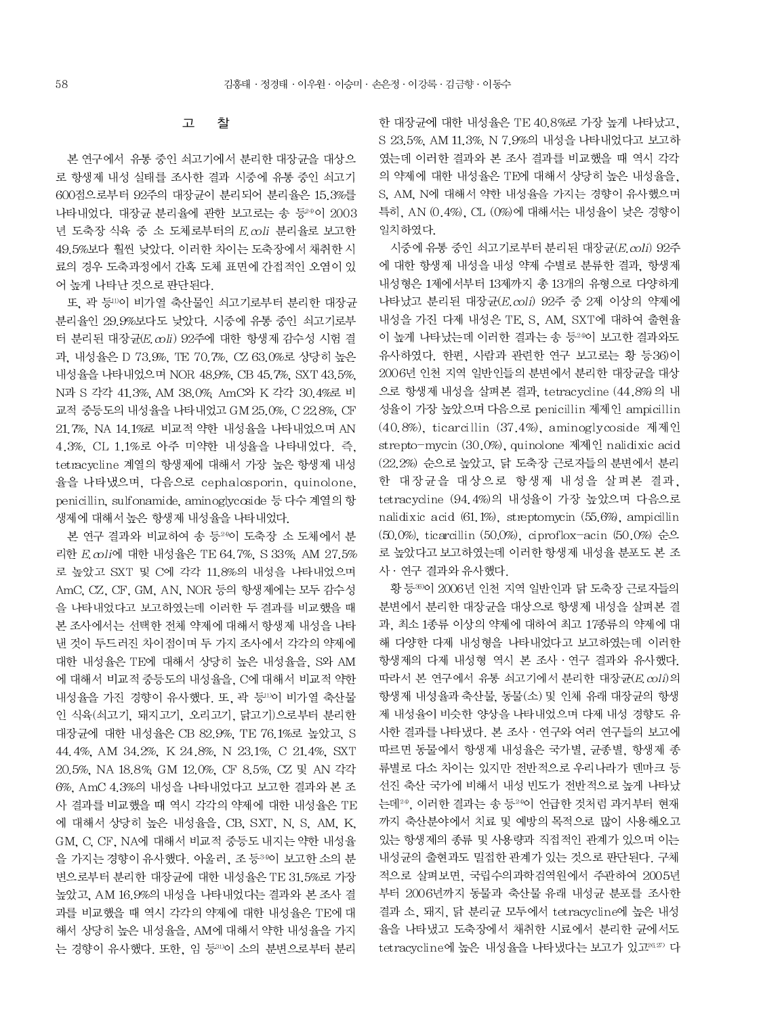#### 찰 고

본 연구에서 유통 중인 쇠고기에서 분리한 대장균을 대상으 로 항생제 내성 실태를 조사한 결과 시중에 유통 중인 쇠고기 600점으로부터 92주의 대장규이 분리되어 분리율은 15.3%를 나타내었다. 대장균 분리율에 관한 보고로는 송 등24이 2003 년 도축장 식육 중 소 도체로부터의 E.coli 분리율로 보고한 49.5%보다 훨씬 낮았다. 이러한 차이는 도축장에서 채취한 시 료의 경우 도축과정에서 간혹 도체 표면에 간접적인 오염이 있 어 높게 나타난 것으로 판단된다.

또 곽 등 이 비가열 축산물인 쇠고기로부터 분리한 대장규 분리율인 29.9%보다도 낮았다. 시중에 유통 중인 쇠고기로부 터 부리된 대장규(E coli) 92주에 대한 항생제 감수성 시험 결 과, 내성율은 D 73.9%, TE 70.7%, CZ 63.0%로 상당히 높은 내성율을 나타내었으며 NOR 48.9%, CB 45.7%, SXT 43.5%, N과 S 각각 41.3%. AM 38.0% AmC와 K 각각 30.4%로 비 교적 중등도의 내성율을 나타내었고 GM 25.0%, C 22.8%, CF 21.7%, NA 14.1%로 비교적 약한 내성율을 나타내었으며 AN 4.3%. CL 1.1%로 아주 미약한 내성율을 나타내었다. 즉. tetracycline 계열의 항생제에 대해서 가장 높은 항생제 내성 율을 나타냈으며, 다음으로 cephalosporin, quinolone, penicillin, sulfonamide, aminoglycoside 등 다수 계열의 항 생제에 대해서 높은 항생제 내성율을 나타내었다.

본 연구 결과와 비교하여 송 등<sup>24</sup>이 도축장 소 도체에서 분 리한 E coli에 대한 내성율은 TE 64.7%, S 33%, AM 27.5% 로 높았고 SXT 및 C에 각각 11.8%의 내성을 나타내었으며 AmC, CZ, CF, GM, AN, NOR 등의 항생제에는 모두 감수성 을 나타내었다고 보고하였는데 이러한 두 결과를 비교했을 때 본 조사에서는 선택한 전체 약제에 대해서 항생제 내성을 나타 낸 것이 두드러진 차이점이며 두 가지 조사에서 각각의 약제에 대한 내성율은 TE에 대해서 상당히 높은 내성율을, S와 AM 에 대해서 비교적 중등도의 내성율을, C에 대해서 비교적 약한 내성율을 가진 경향이 유사했다. 또, 곽 등 이 비가열 축산물 인 식육(쇠고기, 돼지고기, 오리고기, 닭고기)으로부터 분리한 대장균에 대한 내성율은 CB 82.9%, TE 76.1%로 높았고, S 44.4%, AM 34.2%, K 24.8%, N 23.1%, C 21.4%, SXT 20.5%, NA 18.8%, GM 12.0%, CF 8.5%, CZ 및 AN 각각 6%, AmC 4.3%의 내성을 나타내었다고 보고한 결과와 본 조 사 결과를 비교했을 때 역시 각각의 약제에 대한 내성율은 TE 에 대해서 상당히 높은 내성율을, CB, SXT, N, S, AM, K, GM, C, CF, NA에 대해서 비교적 중등도 내지는 약한 내성율 을 가지는 경향이 유사했다. 아울러, 조 등34이 보고한 소의 분 변으로부터 분리한 대장균에 대한 내성율은 TE 31.5%로 가장 높았고, AM 16.9%의 내성을 나타내었다는 결과와 본 조사 결 과를 비교했을 때 역시 각각의 약제에 대한 내성율은 TE에 대 해서 상당히 높은 내성율을, AM에 대해서 약한 내성율을 가지 는 경향이 유사했다. 또한, 임 등30이 소의 분변으로부터 분리

한 대장균에 대한 내성율은 TE 40.8%로 가장 높게 나타났고, S 23.5%, AM 11.3%, N 7.9%의 내성을 나타내었다고 보고하 였는데 이러한 결과와 본 조사 결과를 비교했을 때 역시 각각 의 약제에 대한 내성율은 TE에 대해서 상당히 높은 내성율을. S. AM. N에 대해서 약한 내성율을 가지는 경향이 유사했으며 특히, AN (0.4%), CL (0%)에 대해서는 내성율이 낮은 경향이 일치하였다.

시중에 유통 중인 쇠고기로부터 분리된 대장균(E.coli) 92주 에 대한 항생제 내성을 내성 약제 수별로 분류한 결과, 항생제 내성형은 1제에서부터 13제까지 총 13개의 유형으로 다양하게 나타났고 분리된 대장균(E coli) 92주 중 2제 이상의 약제에 내성을 가진 다제 내성은 TE, S, AM, SXT에 대하여 출현율 이 높게 나타났는데 이러한 결과는 송 등24이 보고한 결과와도 유사하였다. 한편. 사람과 관련한 연구 보고로는 황 등36)이 2006년 인천 지역 일반인들의 분변에서 분리한 대장균을 대상 으로 항생제 내성을 살펴본 결과, tetracycline (44.8%) 의 내 성율이 가장 높았으며 다음으로 penicillin 제제인 ampicillin (40.8%), ticarcillin (37.4%), aminoglycoside 제제인 strepto-mycin (30.0%), quinolone 제제인 nalidixic acid (22.2%) 순으로 높았고, 닭 도축장 근로자들의 분변에서 분리 한 대장균을 대상으로 항생제 내성을 살펴본 결과. tetracycline (94.4%)의 내성율이 가장 높았으며 다음으로 nalidixic acid (61.1%), streptomycin (55.6%), ampicillin (50.0%), ticarcillin (50.0%), ciproflox-acin (50.0%) 순으 로 높았다고 보고하였는데 이러한 항생제 내성율 분포도 본 조 사 · 연구 결과와 유사했다.

황 등30이 2006년 인천 지역 일반인과 닭 도축장 근로자들의 분변에서 분리한 대장균을 대상으로 항생제 내성을 살펴본 결 과, 최소 1종류 이상의 약제에 대하여 최고 17종류의 약제에 대 해 다양한 다제 내성형을 나타내었다고 보고하였는데 이러한 항생제의 다제 내성형 역시 본 조사 · 연구 결과와 유사했다. 따라서 본 연구에서 유통 쇠고기에서 분리한 대장균(E. coli)의 항생제 내성율과 축산물, 동물(소) 및 인체 유래 대장균의 항생 제 내성율이 비슷한 양상을 나타내었으며 다제 내성 경향도 유 사한 결과를 나타냈다. 본 조사 · 연구와 여러 연구들의 보고에 따르면 동물에서 항생제 내성율은 국가별, 균종별, 항생제 종 류별로 다소 차이는 있지만 전반적으로 우리나라가 덴마크 등 선진 축산 국가에 비해서 내성 빈도가 전반적으로 높게 나타났 는데<sup>24</sup>. 이러한 결과는 송 등<sup>24</sup>이 언급한 것처럼 과거부터 현재 까지 축산분야에서 치료 및 예방의 목적으로 많이 사용해오고 있는 항생제의 종류 및 사용량과 직접적인 관계가 있으며 이는 내성균의 출현과도 밀접한 관계가 있는 것으로 판단된다. 구체 적으로 살펴보면, 국립수의과학검역원에서 주관하여 2005년 부터 2006년까지 동물과 축산물 유래 내성균 분포를 조사한 결과 소, 돼지, 닭 분리균 모두에서 tetracycline에 높은 내성 율을 나타냈고 도축장에서 채취한 시료에서 분리한 균에서도 tetracycline에 높은 내성율을 나타냈다는 보고가 있고<sup>26,27</sup> 다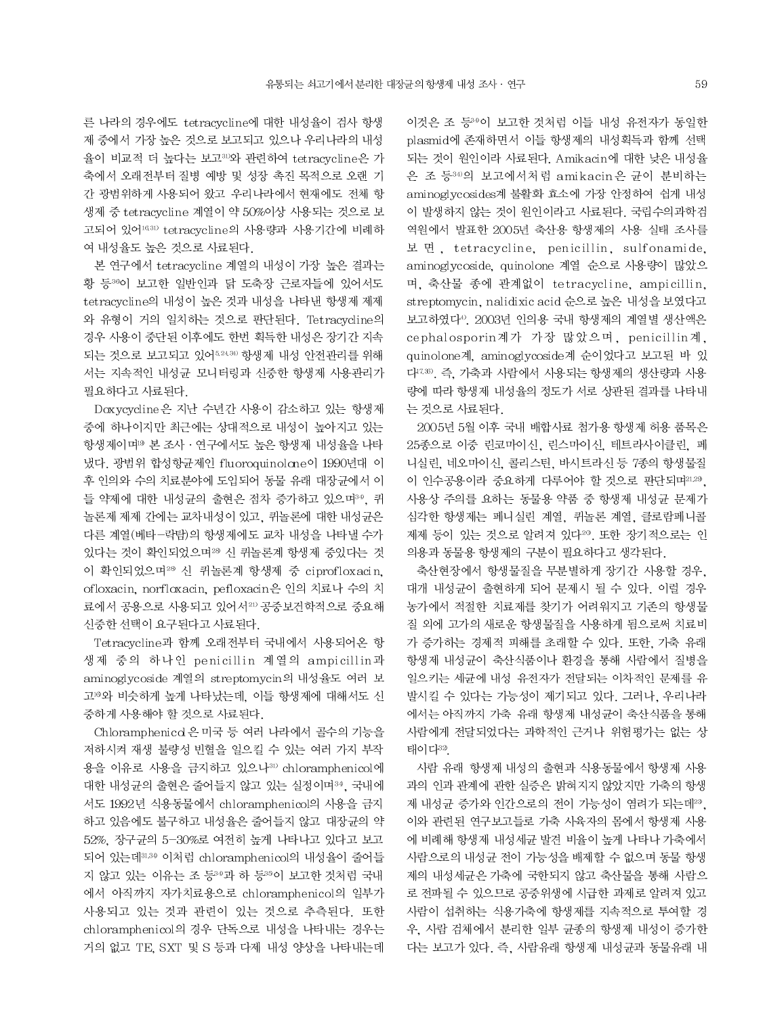른 나라의 경우에도 tetracycline에 대한 내성율이 검사 항생 제 중에서 가장 높은 것으로 보고되고 있으나 우리나라의 내성 율이 비교적 더 높다는 보고31)와 관련하여 tetracycline은 가 축에서 오래전부터 질병 예방 및 성장 촉진 목적으로 오랜 기 간 광범위하게 사용되어 왔고 우리나라에서 현재에도 전체 항 생제 중 tetracycline 계열이 약 50%이상 사용되는 것으로 보 고되어 있어<sup>16,31)</sup> tetracycline의 사용량과 사용기간에 비례하 여 내성율도 높은 것으로 사료된다.

본 연구에서 tetracycline 계열의 내성이 가장 높은 결과는 황 등30이 보고한 일반인과 닭 도축장 근로자들에 있어서도 tetracycline의 내성이 높은 것과 내성을 나타낸 항생제 제제 와 유형이 거의 일치하는 것으로 판단된다. Tetracycline의 경우 사용이 중단된 이후에도 한번 획득한 내성은 장기간 지속 되는 것으로 보고되고 있어 524.30 항생제 내성 안전관리를 위해 서는 지속적인 내성균 모니터링과 신중한 항생제 사용관리가 필요하다고 사료된다.

Doxycycline 은 지난 수년간 사용이 감소하고 있는 항생제 중에 하나이지만 최근에는 상대적으로 내성이 높아지고 있는 항생제이며<sup>19</sup> 본 조사 · 연구에서도 높은 항생제 내성율을 나타 냈다. 광범위 합성항균제인 fluoroquinolone이 1990년대 이 후 인의와 수의 치료분야에 도입되어 동물 유래 대장균에서 이 들 약제에 대한 내성균의 출현은 점차 증가하고 있으며34, 퀴 놀론제 제제 간에는 교차내성이 있고, 퀴놀론에 대한 내성균은 다른 계열(베타-락탐)의 항생제에도 교차 내성을 나타낼 수가 있다는 것이 확인되었으며<sup>28</sup> 신 퀴놀론계 항생제 중있다는 것 이 확인되었으며<sup>28</sup> 신 퀴놀론계 항생제 중 ciprofloxacin, ofloxacin, norfloxacin, pefloxacin은 인의 치료나 수의 치 료에서 공용으로 사용되고 있어서21) 공중보건학적으로 중요해 신중한 선택이 요구된다고 사료된다.

Tetracycline과 함께 오래전부터 국내에서 사용되어온 항 생제 중의 하나인 penicillin 계열의 ampicillin과 aminoglycoside 계열의 streptomycin의 내성율도 여러 보 고<sup>10</sup>와 비슷하게 높게 나타났는데. 이들 항생제에 대해서도 신 중하게 사용해야 할 것으로 사료된다.

Chloramphenicd 은 미국 등 여러 나라에서 골수의 기능을 저하시켜 재생 불량성 빈혈을 일으킬 수 있는 여러 가지 부작 용을 이유로 사용을 금지하고 있으나3D chloramphenicol에 대한 내성균의 출현은 줄어들지 않고 있는 실정이며34, 국내에 서도 1992년 식용동물에서 chloramphenicol의 사용을 금지 하고 있음에도 불구하고 내성율은 줄어들지 않고 대장균의 약 52%. 장구균의 5-30%로 여전히 높게 나타나고 있다고 보고 되어 있는데31,34 이처럼 chloramphenicol의 내성율이 줄어들 지 않고 있는 이유는 조 등34과 하 등35이 보고한 것처럼 국내 에서 아직까지 자가치료용으로 chloramphenicol의 일부가 사용되고 있는 것과 관련이 있는 것으로 추측된다. 또한 chloramphenicol의 경우 단독으로 내성을 나타내는 경우는 거의 없고 TE, SXT 및 S 등과 다제 내성 양상을 나타내는데 이것은 조 등34이 보고한 것처럼 이들 내성 유전자가 동일한 plasmid에 존재하면서 이들 항생제의 내성획득과 함께 선택 되는 것이 원인이라 사료된다. Amikacin에 대한 낮은 내성율 은 조 등34)의 보고에서처럼 amikacin은 균이 분비하는 aminoglycosides계 불활화 효소에 가장 안정하여 쉽게 내성 이 발생하지 않는 것이 원인이라고 사료된다. 국립수의과학검 역원에서 발표한 2005년 축산용 항생제의 사용 실태 조사를 보면, tetracycline, penicillin, sulfonamide, aminoglycoside, quinolone 계열 순으로 사용량이 많았으 며, 축산물 종에 관계없이 tetracycline, ampicillin, streptomycin, nalidixic acid 순으로 높은 내성을 보였다고 보고하였다<sup>4)</sup>. 2003년 인의용 국내 항생제의 계열별 생산액은 cephalosporin계가 가장 많았으며, penicillin계, quinolone계, aminoglycoside계 순이었다고 보고된 바 있 다<sup>17,36)</sup>. 즉. 가축과 사람에서 사용되는 항생제의 생산량과 사용 량에 따라 항생제 내성율의 정도가 서로 상관된 결과를 나타내 는 것으로 사료된다.

2005년 5월 이후 국내 배합사료 첨가용 항생제 허용 품목은 25종으로 이중 린코마이신, 린스마이신, 테트라사이클린, 페 니실린, 네오마이신, 콜리스틴, 바시트라신 등 7종의 항생물질 이 인수공용이라 중요하게 다루어야 할 것으로 판단되며21.29, 사용상 주의를 요하는 동물용 약품 중 항생제 내성균 문제가 심각한 항생제는 페니실린 계열, 퀴놀론 계열, 클로람페니콜 제제 등이 있는 것으로 알려져 있다<sup>20</sup>. 또한 장기적으로는 인 의용과 동물용 항생제의 구분이 필요하다고 생각된다.

축산현장에서 항생물질을 무분별하게 장기간 사용할 경우, 대개 내성균이 출현하게 되어 문제시 될 수 있다. 이럴 경우 농가에서 적절한 치료제를 찾기가 어려워지고 기존의 항생물 질 외에 고가의 새로운 항생물질을 사용하게 됨으로써 치료비 가 증가하는 경제적 피해를 초래할 수 있다. 또한, 가축 유래 항생제 내성균이 축산식품이나 환경을 통해 사람에서 질병을 일으키는 세균에 내성 유전자가 전달되는 이차적인 문제를 유 발시킬 수 있다는 가능성이 제기되고 있다. 그러나. 우리나라 에서는 아직까지 가축 유래 항생제 내성균이 축산식품을 통해 사람에게 전달되었다는 과학적인 근거나 위험평가는 없는 상 태이다32.

사람 유래 항생제 내성의 출현과 식용동물에서 항생제 사용 과의 인과 관계에 관한 실증은 밝혀지지 않았지만 가축의 항생 제 내성균 증가와 인간으로의 전이 가능성이 염려가 되는데23. 이와 관련된 연구보고들로 가축 사육자의 몸에서 항생제 사용 에 비례해 항생제 내성세균 발견 비율이 높게 나타나 가축에서 사람으로의 내성균 전이 가능성을 배제할 수 없으며 동물 항생 제의 내성세균은 가축에 국한되지 않고 축산물을 통해 사람으 로 전파될 수 있으므로 공중위생에 시급한 과제로 알려져 있고 사람이 섭취하는 식용가축에 항생제를 지속적으로 투여할 경 우, 사람 검체에서 분리한 일부 균종의 항생제 내성이 증가한 다는 보고가 있다. 즉, 사람유래 항생제 내성균과 동물유래 내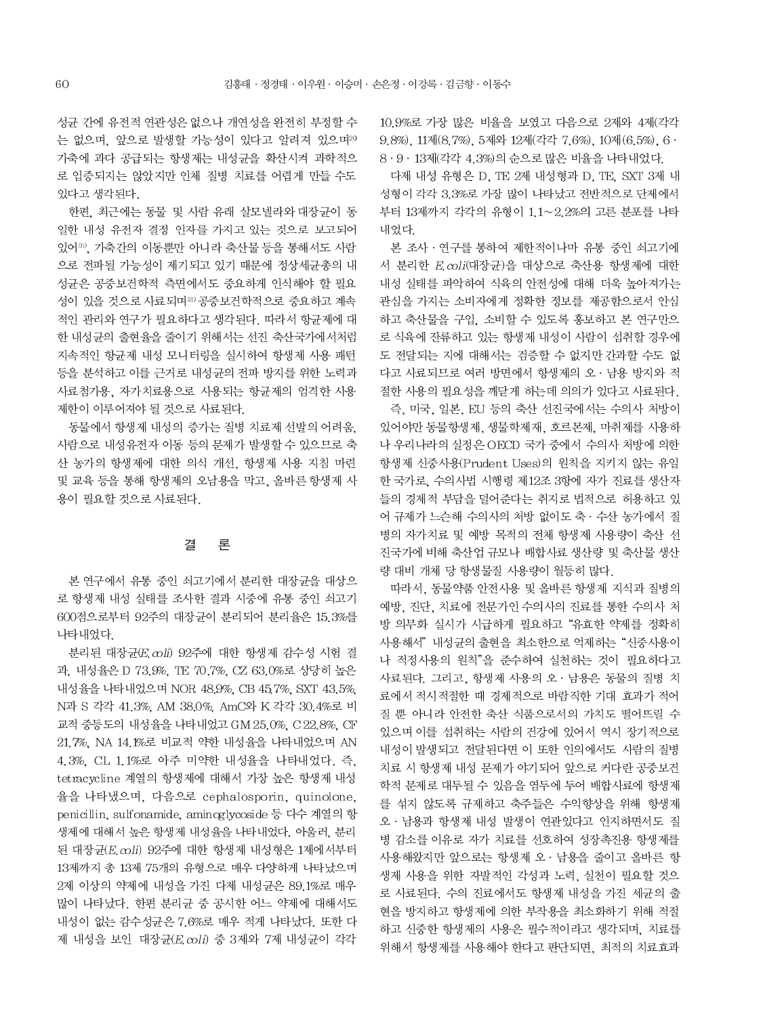성균 간에 유전적 연관성은 없으나 개연성을 완전히 부정할 수 는 없으며, 앞으로 발생할 가능성이 있다고 알려져 있으며<sup>20</sup> 가축에 과다 공급되는 항생제는 내성균을 확산시켜 과학적으 로 입증되지는 않았지만 인체 질병 치료를 어렵게 만들 수도 있다고 생각된다.

한편. 최근에는 동물 및 사람 유래 살모넬라와 대장균이 동 일한 내성 유전자 결정 인자를 가지고 있는 것으로 보고되어 있어31). 가축간의 이동뿐만 아니라 축산물 등을 통해서도 사람 으로 전파될 가능성이 제기되고 있기 때문에 정상세균총의 내 성균은 공중보건학적 측면에서도 중요하게 인식해야 할 필요 성이 있을 것으로 사료되며30공중보건학적으로 중요하고 계속 적인 관리와 연구가 필요하다고 생각된다. 따라서 항균제에 대 한 내성균의 출현율을 줄이기 위해서는 선진 축산국가에서처럼 지속적인 항균제 내성 모니터링을 실시하여 항생제 사용 패턴 등을 분석하고 이를 근거로 내성균의 전파 방지를 위한 노력과 사료첨가용, 자가치료용으로 사용되는 항균제의 엄격한 사용 제한이 이루어져야 될 것으로 사료된다.

동물에서 항생제 내성의 증가는 질병 치료제 선발의 어려움. 사람으로 내성유전자 이동 등의 문제가 발생할 수 있으므로 축 산 농가의 항생제에 대한 의식 개선, 항생제 사용 지침 마련 및 교육 등을 통해 항생제의 오남용을 막고, 올바른 항생제 사 용이 필요할 것으로 사료된다.

#### 론 결

본 연구에서 유통 중인 쇠고기에서 분리한 대장균을 대상으 로 항생제 내성 실태를 조사한 결과 시중에 유통 중인 쇠고기 600점으로부터 92주의 대장균이 분리되어 분리율은 15.3%를 나타내었다.

분리된 대장균(E.coli) 92주에 대한 항생제 감수성 시험 결 과. 내성율은 D 73.9%. TE 70.7%. CZ 63.0%로 상당히 높은 내성율을 나타내었으며 NOR 48.9%, CB 45.7%, SXT 43.5%, N과 S 각각 41.3%, AM 38.0%, AmC와 K 각각 30.4%로 비 교적 중등도의 내성율을 나타내었고 GM 25.0%, C 22.8%, CF 21.7%, NA 14.1%로 비교적 약한 내성율을 나타내었으며 AN 4.3%, CL 1.1%로 아주 미약한 내성율을 나타내었다. 즉, tetracycline 계열의 항생제에 대해서 가장 높은 항생제 내성 율을 나타냈으며, 다음으로 cephalosporin, quinolone, penicillin, sulfonamide, aminoglycoside 등 다수 계열의 항 생제에 대해서 높은 항생제 내성율을 나타내었다. 아울러, 분리 된 대장균 $(E.\text{coli})$  92주에 대한 항생제 내성형은 1제에서부터 13제까지 총 13제 75개의 유형으로 매우 다양하게 나타났으며 2제 이상의 약제에 내성을 가진 다제 내성균은 89.1%로 매우 많이 나타났다. 한편 분리균 중 공시한 어느 약제에 대해서도 내성이 없는 감수성균은 7.6%로 매우 적게 나타났다. 또한 다 제 내성을 보인 대장균(E. coli) 중 3제와 7제 내성균이 각각

10.9%로 가장 많은 비율을 보였고 다음으로 2제와 4제(각각 9.8%), 11제(8.7%), 5제와 12제(각각 7.6%), 10제(6.5%), 6 · 8 · 9 · 13제 (각각 4.3%)의 순으로 많은 비율을 나타내었다.

다제 내성 유형은 D. TE 2제 내성형과 D. TE. SXT 3제 내 성형이 각각 3.3%로 가장 많이 나타났고 전반적으로 단제에서 부터 13제까지 각각의 유형이 1.1~2.2%의 고른 분포를 나타 내었다.

본 조사 · 연구를 통하여 제한적이나마 유통 중인 쇠고기에 서 분리한 E. coli(대장균)을 대상으로 축산용 항생제에 대한 내성 실태를 파악하여 식육의 안전성에 대해 더욱 높아져가는 관심을 가지는 소비자에게 정확한 정보를 제공함으로서 안심 하고 축산물을 구입, 소비할 수 있도록 홍보하고 본 연구만으 로 식육에 잔류하고 있는 항생제 내성이 사람이 섭취할 경우에 도 전달되는 지에 대해서는 검증할 수 없지만 간과할 수도 없 다고 사료되므로 여러 방면에서 항생제의 오 · 남용 방지와 적 절한 사용의 필요성을 깨닫게 하는데 의의가 있다고 사료된다. 즉, 미국, 일본, EU 등의 축산 선진국에서는 수의사 처방이 있어야만 동물항생제, 생물학제재, 호르몬제, 마취제를 사용하 나 우리나라의 실정은 OECD 국가 중에서 수의사 처방에 의한 항생제 신중사용(Prudent Uses)의 원칙을 지키지 않는 유일 한 국가로, 수의사법 시행령 제12조 3항에 자가 진료를 생산자 들의 경제적 부담을 덜어준다는 취지로 법적으로 허용하고 있 어 규제가 느슨해 수의사의 처방 없이도 축 · 수산 농가에서 질 병의 자가치료 및 예방 목적의 전체 항생제 사용량이 축산 선 진국가에 비해 축산업 규모나 배합사료 생산량 및 축산물 생산 량 대비 개체 당 항생물질 사용량이 월등히 많다.

따라서, 동물약품 안전사용 및 올바른 항생제 지식과 질병의 예방, 진단, 치료에 전문가인 수의사의 진료를 통한 수의사 처 방 의무화 실시가 시급하게 필요하고 "유효한 약제를 정확히 사용해서" 내성균의 출현을 최소한으로 억제하는 "신중사용이 나 적정사용의 워칙"을 준수하여 실천하는 것이 필요하다고 사료된다. 그리고, 항생제 사용의 오 · 남용은 동물의 질병 치 료에서 적시적절한 때 경제적으로 바람직한 기대 효과가 적어 질 뿐 아니라 안전한 축산 식품으로서의 가치도 떨어뜨릴 수 있으며 이를 섭취하는 사람의 건강에 있어서 역시 장기적으로 내성이 발생되고 전달된다면 이 또한 인의에서도 사람의 질병 치료 시 항생제 내성 문제가 야기되어 앞으로 커다란 공중보건 학적 문제로 대두될 수 있음을 염두에 두어 배합사료에 항생제 를 섞지 않도록 규제하고 축주들은 수익향상을 위해 항생제 오 · 남용과 항생제 내성 발생이 연관있다고 인지하면서도 질 병 감소를 이유로 자가 치료를 선호하여 성장촉진용 항생제를 사용해왔지만 앞으로는 항생제 오 · 남용을 줄이고 올바른 항 생제 사용을 위한 자발적인 각성과 노력, 실천이 필요할 것으 로 사료된다. 수의 진료에서도 항생제 내성을 가진 세균의 출 현을 방지하고 항생제에 의한 부작용을 최소화하기 위해 적절 하고 신중한 항생제의 사용은 필수적이라고 생각되며, 치료를 위해서 항생제를 사용해야 한다고 판단되면, 최적의 치료효과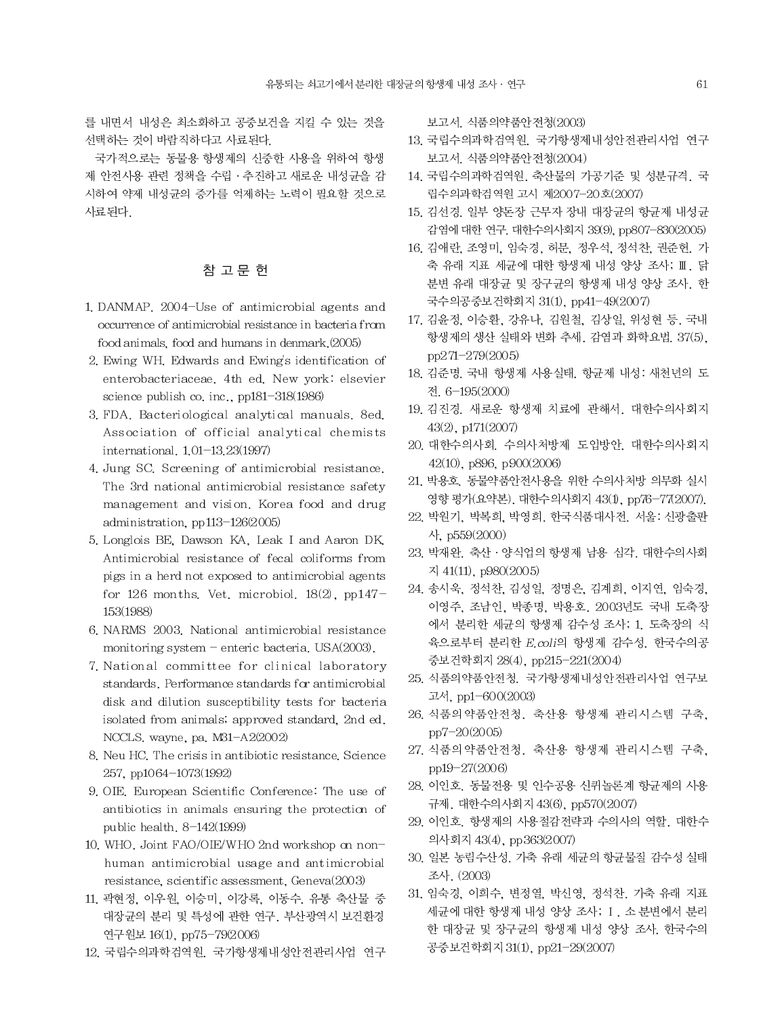를 내면서 내성은 최소화하고 공중보건을 지킬 수 있는 것을 선택하는 것이 바람직하다고 사료된다.

국가적으로는 동물용 항생제의 신중한 사용을 위하여 항생 제 안전사용 관련 정책을 수립 · 추진하고 새로운 내성균을 감 시하여 약제 내성균의 증가를 억제하는 노력이 필요할 것으로 사료된다

# 참 고 문 헌

- 1. DANMAP, 2004-Use of antimicrobial agents and occurrence of antimicrobial resistance in bacteria from food animals, food and humans in denmark (2005)
- 2. Ewing WH. Edwards and Ewing's identification of enterobacteriaceae. 4th ed. New york: elsevier science publish co. inc.,  $pp181-318(1986)$
- 3. FDA. Bacteriological analytical manuals. 8ed. Association of official analytical chemists international, 1,01-13,23(1997)
- 4. Jung SC. Screening of antimicrobial resistance. The 3rd national antimicrobial resistance safety management and vision. Korea food and drug administration, pp113-126(2005)
- 5. Longlois BE, Dawson KA, Leak I and Aaron DK Antimicrobial resistance of fecal coliforms from pigs in a herd not exposed to antimicrobial agents for 126 months. Vet. microbiol.  $18(2)$ , pp147-153(1988)
- 6. NARMS 2003. National antimicrobial resistance monitoring system - enteric bacteria. USA(2003).
- 7. National committee for clinical laboratory standards. Performance standards for antimicrobial disk and dilution susceptibility tests for bacteria isolated from animals; approved standard, 2nd ed. NCCLS. wayne, pa. M31-A2(2002)
- 8. Neu HC. The crisis in antibiotic resistance. Science 257, pp1064-1073(1992)
- 9. OIE. European Scientific Conference: The use of antibiotics in animals ensuring the protection of public health,  $8-142(1999)$
- 10. WHO. Joint FAO/OIE/WHO 2nd workshop on nonhuman antimicrobial usage and antimicrobial resistance, scientific assessment, Geneva(2003)
- 11. 곽현정, 이우원, 이승미, 이강록, 이동수. 유통 축산물 중 대장균의 분리 및 특성에 관한 연구. 부산광역시 보건환경 연구원보 16(1), pp75-79(2006)
- 12. 국립수의과학검역원. 국가항생제내성안전관리사업 연구

보고서, 식품의약품안전청(2003)

- 13. 국립수의과학검역원. 국가항생제내성안전관리사업 연구 보고서. 식품의약품안전청(2004)
- 14. 국립수의과학검역원, 축산물의 가공기준 및 성분규격, 국 립수의과학검역원 고시 제2007-20호(2007)
- 15. 김선경. 일부 양돈장 근무자 장내 대장균의 항균제 내성균 감염에 대한 연구. 대한수의사회지 39(9), pp807-830(2005)
- 16. 김애란, 조영미, 임숙경, 허문, 정우석, 정석찬, 권준헌. 가 축 유래 지표 세균에 대한 항생제 내성 양상 조사; II. 닭 분변 유래 대장균 및 장구균의 항생제 내성 양상 조사. 한 국수의공중보건학회지 31(1), pp41-49(2007)
- 17. 김윤정, 이승환, 강유나, 김원철, 김상일, 위성현 등, 국내 항생제의 생산 실태와 변화 추세, 감염과 화학요법, 37(5), pp271-279(2005)
- 18. 김준명. 국내 항생제 사용실태. 항균제 내성: 새천년의 도 전 6-195(2000)
- 19. 김진경. 새로운 항생제 치료에 관해서. 대한수의사회지 43(2), p171(2007)
- 20. 대한수의사회. 수의사처방제 도입방안. 대한수의사회지 42(10), p896, p900(2006)
- 21. 박용호. 동물약품안전사용을 위한 수의사처방 의무화 실시 영향 평가(요약본). 대한수의사회지 43(1), pp76-77(2007).
- 22. 박원기. 박복희. 박영희. 한국식품대사전. 서울: 신광출판 사, p559(2000)
- 23. 박재완. 축산 · 양식업의 항생제 남용 심각. 대한수의사회 지 41(11), p980(2005)
- 24. 송시욱, 정석찬, 김성일, 정명은, 김계희, 이지연, 임숙경, 이영주, 조남인, 박종명, 박용호, 2003년도 국내 도축장 에서 분리한 세균의 항생제 감수성 조사; 1. 도축장의 식 육으로부터 분리한 E. coli의 항생제 감수성. 한국수의공 중보건학회지 28(4), pp215-221(2004)
- 25. 식품의약품안전청. 국가항생제내성안전관리사업 연구보 고서, pp1-600(2003)
- 26. 식품의 약품안전청. 축산용 항생제 관리시스템 구축, pp7-20(2005)
- 27. 식품의 약품안전청. 축산용 항생제 관리시스템 구축, pp19-27(2006)
- 28. 이인호. 동물전용 및 인수공용 신퀴놀론계 항균제의 사용 규제. 대한수의사회지 43(6), pp570(2007)
- 29. 이인호. 항생제의 사용절감전략과 수의사의 역할. 대한수 의사회지 43(4), pp363(2007)
- 30. 일본 농림수산성. 가축 유래 세균의 항균물질 감수성 실태 조사. (2003)
- 31. 임숙경, 이희수, 변정열, 박신영, 정석찬. 가축 유래 지표 세균에 대한 항생제 내성 양상 조사; I . 소 분변에서 분리 한 대장균 및 장구균의 항생제 내성 양상 조사. 한국수의 공중보건학회지31(1), pp21-29(2007)